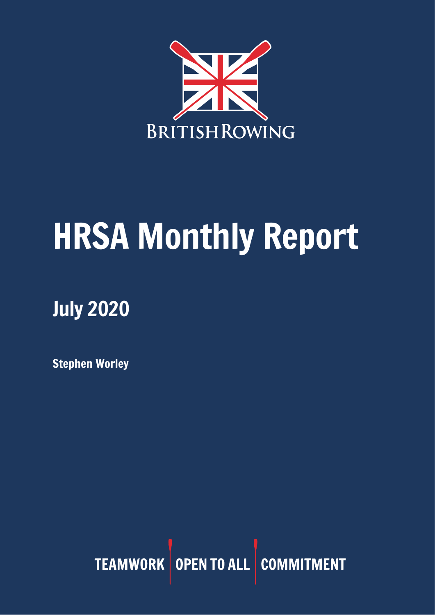

# HRSA Monthly Report

## July 2020

Stephen Worley

TEAMWORK OPEN TO ALL COMMITMENT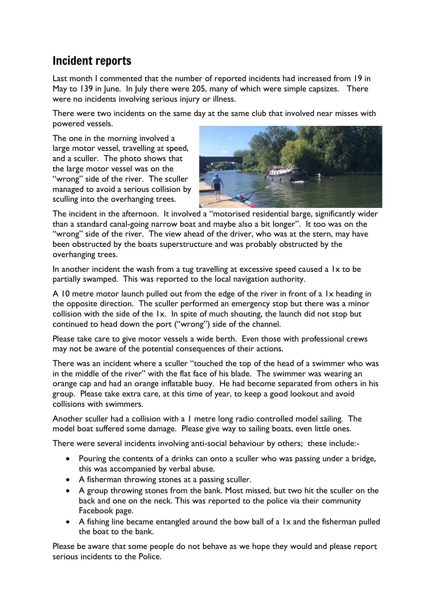## Incident reports

Last month I commented that the number of reported incidents had increased from 19 in May to 139 in June. In July there were 205, many of which were simple capsizes. There were no incidents involving serious injury or illness.

There were two incidents on the same day at the same club that involved near misses with powered vessels.

The one in the morning involved a large motor vessel, travelling at speed, and a sculler. The photo shows that the large motor vessel was on the "wrong" side of the river. The sculler managed to avoid a serious collision by sculling into the overhanging trees.



The incident in the afternoon. It involved a "motorised residential barge, significantly wider than a standard canal-going narrow boat and maybe also a bit longer". It too was on the "wrong" side of the river. The view ahead of the driver, who was at the stern, may have been obstructed by the boats superstructure and was probably obstructed by the overhanging trees.

In another incident the wash from a tug travelling at excessive speed caused a 1x to be partially swamped. This was reported to the local navigation authority.

A 10 metre motor launch pulled out from the edge of the river in front of a 1x heading in the opposite direction. The sculler performed an emergency stop but there was a minor collision with the side of the 1x. In spite of much shouting, the launch did not stop but continued to head down the port ("wrong") side of the channel.

Please take care to give motor vessels a wide berth. Even those with professional crews may not be aware of the potential consequences of their actions.

There was an incident where a sculler "touched the top of the head of a swimmer who was in the middle of the river" with the flat face of his blade. The swimmer was wearing an orange cap and had an orange inflatable buoy. He had become separated from others in his group. Please take extra care, at this time of year, to keep a good lookout and avoid collisions with swimmers.

Another sculler had a collision with a 1 metre long radio controlled model sailing. The model boat suffered some damage. Please give way to sailing boats, even little ones.

There were several incidents involving anti-social behaviour by others; these include:-

- Pouring the contents of a drinks can onto a sculler who was passing under a bridge, this was accompanied by verbal abuse.
- A fisherman throwing stones at a passing sculler.
- A group throwing stones from the bank. Most missed, but two hit the sculler on the back and one on the neck. This was reported to the police via their community Facebook page.
- A fishing line became entangled around the bow ball of a 1x and the fisherman pulled the boat to the bank.

Please be aware that some people do not behave as we hope they would and please report serious incidents to the Police.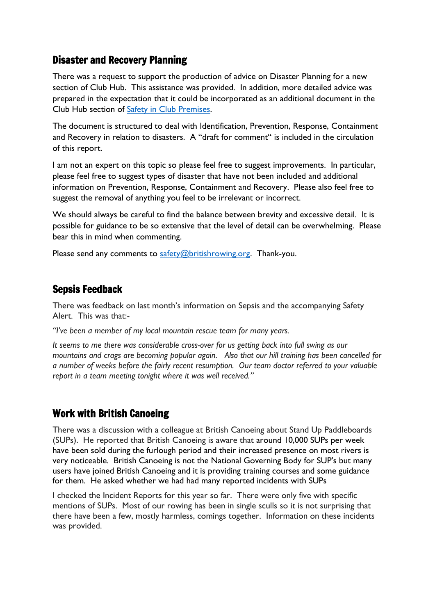## Disaster and Recovery Planning

There was a request to support the production of advice on Disaster Planning for a new section of Club Hub. This assistance was provided. In addition, more detailed advice was prepared in the expectation that it could be incorporated as an additional document in the Club Hub section of [Safety in Club Premises.](https://www.britishrowing.org/knowledge/british-rowing-clubhub/british-rowing-clubhub-guides/safety-in-club-premises/)

The document is structured to deal with Identification, Prevention, Response, Containment and Recovery in relation to disasters. A "draft for comment" is included in the circulation of this report.

I am not an expert on this topic so please feel free to suggest improvements. In particular, please feel free to suggest types of disaster that have not been included and additional information on Prevention, Response, Containment and Recovery. Please also feel free to suggest the removal of anything you feel to be irrelevant or incorrect.

We should always be careful to find the balance between brevity and excessive detail. It is possible for guidance to be so extensive that the level of detail can be overwhelming. Please bear this in mind when commenting.

Please send any comments to [safety@britishrowing.org.](mailto:safety@britishrowing.org) Thank-you.

## Sepsis Feedback

There was feedback on last month's information on Sepsis and the accompanying Safety Alert. This was that:-

*"I've been a member of my local mountain rescue team for many years.*

*It seems to me there was considerable cross-over for us getting back into full swing as our mountains and crags are becoming popular again. Also that our hill training has been cancelled for a number of weeks before the fairly recent resumption. Our team doctor referred to your valuable report in a team meeting tonight where it was well received."*

## Work with British Canoeing

There was a discussion with a colleague at British Canoeing about Stand Up Paddleboards (SUPs). He reported that British Canoeing is aware that around 10,000 SUPs per week have been sold during the furlough period and their increased presence on most rivers is very noticeable. British Canoeing is not the National Governing Body for SUP's but many users have joined British Canoeing and it is providing training courses and some guidance for them. He asked whether we had had many reported incidents with SUPs

I checked the Incident Reports for this year so far. There were only five with specific mentions of SUPs. Most of our rowing has been in single sculls so it is not surprising that there have been a few, mostly harmless, comings together. Information on these incidents was provided.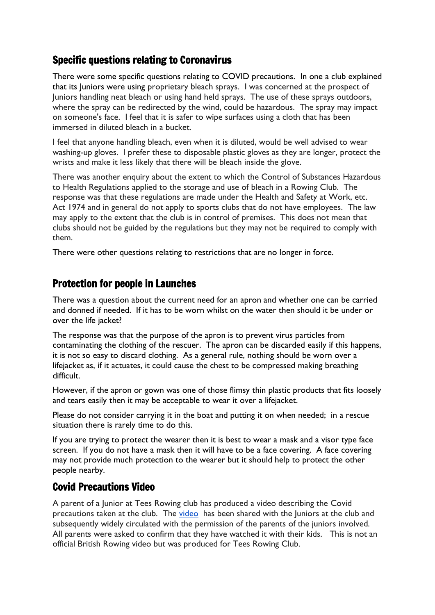## Specific questions relating to Coronavirus

There were some specific questions relating to COVID precautions. In one a club explained that its Juniors were using proprietary bleach sprays. I was concerned at the prospect of Juniors handling neat bleach or using hand held sprays. The use of these sprays outdoors, where the spray can be redirected by the wind, could be hazardous. The spray may impact on someone's face. I feel that it is safer to wipe surfaces using a cloth that has been immersed in diluted bleach in a bucket.

I feel that anyone handling bleach, even when it is diluted, would be well advised to wear washing-up gloves. I prefer these to disposable plastic gloves as they are longer, protect the wrists and make it less likely that there will be bleach inside the glove.

There was another enquiry about the extent to which the Control of Substances Hazardous to Health Regulations applied to the storage and use of bleach in a Rowing Club. The response was that these regulations are made under the Health and Safety at Work, etc. Act 1974 and in general do not apply to sports clubs that do not have employees. The law may apply to the extent that the club is in control of premises. This does not mean that clubs should not be guided by the regulations but they may not be required to comply with them.

There were other questions relating to restrictions that are no longer in force.

## Protection for people in Launches

There was a question about the current need for an apron and whether one can be carried and donned if needed. If it has to be worn whilst on the water then should it be under or over the life jacket?

The response was that the purpose of the apron is to prevent virus particles from contaminating the clothing of the rescuer. The apron can be discarded easily if this happens, it is not so easy to discard clothing. As a general rule, nothing should be worn over a lifejacket as, if it actuates, it could cause the chest to be compressed making breathing difficult.

However, if the apron or gown was one of those flimsy thin plastic products that fits loosely and tears easily then it may be acceptable to wear it over a lifejacket.

Please do not consider carrying it in the boat and putting it on when needed; in a rescue situation there is rarely time to do this.

If you are trying to protect the wearer then it is best to wear a mask and a visor type face screen. If you do not have a mask then it will have to be a face covering. A face covering may not provide much protection to the wearer but it should help to protect the other people nearby.

## Covid Precautions Video

A parent of a Junior at Tees Rowing club has produced a video describing the Covid precautions taken at the club. The [video](http://qlnk.io/ql/5f11e61ee4b04f0cc306f713) has been shared with the Juniors at the club and subsequently widely circulated with the permission of the parents of the juniors involved. All parents were asked to confirm that they have watched it with their kids. This is not an official British Rowing video but was produced for Tees Rowing Club.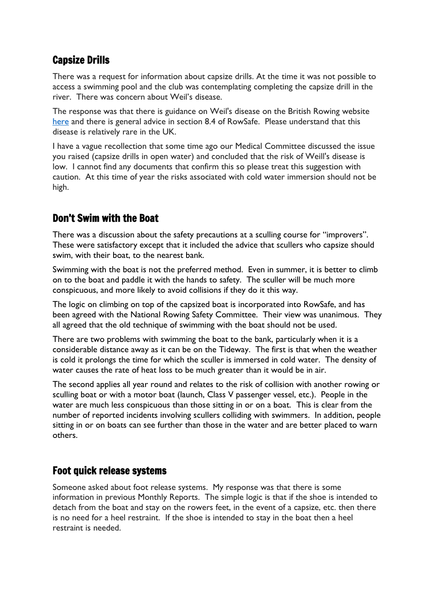## Capsize Drills

There was a request for information about capsize drills. At the time it was not possible to access a swimming pool and the club was contemplating completing the capsize drill in the river. There was concern about Weil's disease.

The response was that there is guidance on Weil's disease on the British Rowing website [here](https://www.britishrowing.org/2010/10/leptospirosisweils-disease/) and there is general advice in section 8.4 of RowSafe. Please understand that this disease is relatively rare in the UK.

I have a vague recollection that some time ago our Medical Committee discussed the issue you raised (capsize drills in open water) and concluded that the risk of Weill's disease is low. I cannot find any documents that confirm this so please treat this suggestion with caution. At this time of year the risks associated with cold water immersion should not be high.

## Don't Swim with the Boat

There was a discussion about the safety precautions at a sculling course for "improvers". These were satisfactory except that it included the advice that scullers who capsize should swim, with their boat, to the nearest bank.

Swimming with the boat is not the preferred method. Even in summer, it is better to climb on to the boat and paddle it with the hands to safety. The sculler will be much more conspicuous, and more likely to avoid collisions if they do it this way.

The logic on climbing on top of the capsized boat is incorporated into RowSafe, and has been agreed with the National Rowing Safety Committee. Their view was unanimous. They all agreed that the old technique of swimming with the boat should not be used.

There are two problems with swimming the boat to the bank, particularly when it is a considerable distance away as it can be on the Tideway. The first is that when the weather is cold it prolongs the time for which the sculler is immersed in cold water. The density of water causes the rate of heat loss to be much greater than it would be in air.

The second applies all year round and relates to the risk of collision with another rowing or sculling boat or with a motor boat (launch, Class V passenger vessel, etc.). People in the water are much less conspicuous than those sitting in or on a boat. This is clear from the number of reported incidents involving scullers colliding with swimmers. In addition, people sitting in or on boats can see further than those in the water and are better placed to warn others.

## Foot quick release systems

Someone asked about foot release systems. My response was that there is some information in previous Monthly Reports. The simple logic is that if the shoe is intended to detach from the boat and stay on the rowers feet, in the event of a capsize, etc. then there is no need for a heel restraint. If the shoe is intended to stay in the boat then a heel restraint is needed.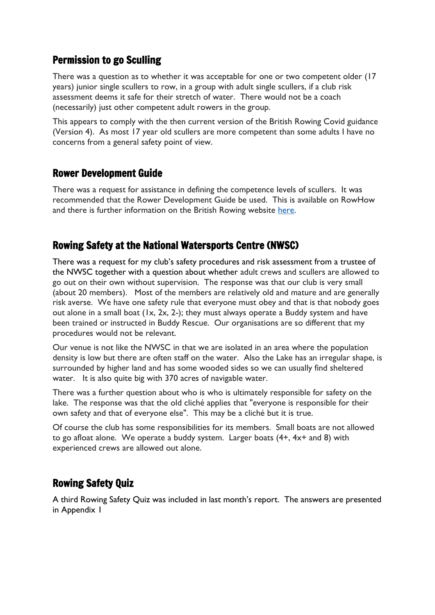## Permission to go Sculling

There was a question as to whether it was acceptable for one or two competent older (17 years) junior single scullers to row, in a group with adult single scullers, if a club risk assessment deems it safe for their stretch of water. There would not be a coach (necessarily) just other competent adult rowers in the group.

This appears to comply with the then current version of the British Rowing Covid guidance (Version 4). As most 17 year old scullers are more competent than some adults I have no concerns from a general safety point of view.

## Rower Development Guide

There was a request for assistance in defining the competence levels of scullers. It was recommended that the Rower Development Guide be used. This is available on RowHow and there is further information on the British Rowing website [here.](https://www.britishrowing.org/knowledge/rower-development/rower-development-guide/)

## Rowing Safety at the National Watersports Centre (NWSC)

There was a request for my club's safety procedures and risk assessment from a trustee of the NWSC together with a question about whether adult crews and scullers are allowed to go out on their own without supervision. The response was that our club is very small (about 20 members). Most of the members are relatively old and mature and are generally risk averse. We have one safety rule that everyone must obey and that is that nobody goes out alone in a small boat (1x, 2x, 2-); they must always operate a Buddy system and have been trained or instructed in Buddy Rescue. Our organisations are so different that my procedures would not be relevant.

Our venue is not like the NWSC in that we are isolated in an area where the population density is low but there are often staff on the water. Also the Lake has an irregular shape, is surrounded by higher land and has some wooded sides so we can usually find sheltered water. It is also quite big with 370 acres of navigable water.

There was a further question about who is who is ultimately responsible for safety on the lake. The response was that the old cliché applies that "everyone is responsible for their own safety and that of everyone else". This may be a cliché but it is true.

Of course the club has some responsibilities for its members. Small boats are not allowed to go afloat alone. We operate a buddy system. Larger boats  $(4+, 4x+$  and 8) with experienced crews are allowed out alone.

## Rowing Safety Quiz

A third Rowing Safety Quiz was included in last month's report. The answers are presented in Appendix 1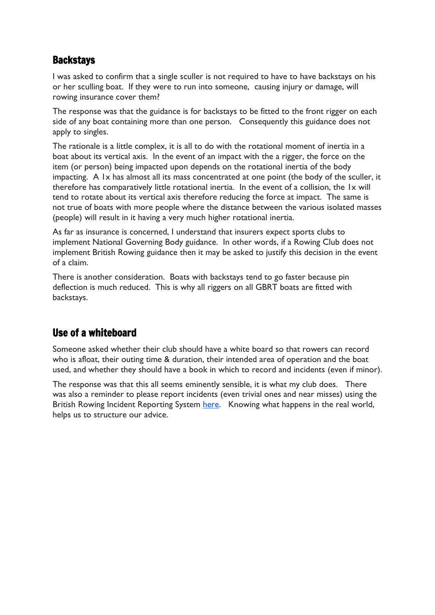## **Backstavs**

I was asked to confirm that a single sculler is not required to have to have backstays on his or her sculling boat. If they were to run into someone, causing injury or damage, will rowing insurance cover them?

The response was that the guidance is for backstays to be fitted to the front rigger on each side of any boat containing more than one person. Consequently this guidance does not apply to singles.

The rationale is a little complex, it is all to do with the rotational moment of inertia in a boat about its vertical axis. In the event of an impact with the a rigger, the force on the item (or person) being impacted upon depends on the rotational inertia of the body impacting. A 1x has almost all its mass concentrated at one point (the body of the sculler, it therefore has comparatively little rotational inertia. In the event of a collision, the 1x will tend to rotate about its vertical axis therefore reducing the force at impact. The same is not true of boats with more people where the distance between the various isolated masses (people) will result in it having a very much higher rotational inertia.

As far as insurance is concerned, I understand that insurers expect sports clubs to implement National Governing Body guidance. In other words, if a Rowing Club does not implement British Rowing guidance then it may be asked to justify this decision in the event of a claim.

There is another consideration. Boats with backstays tend to go faster because pin deflection is much reduced. This is why all riggers on all GBRT boats are fitted with backstays.

## Use of a whiteboard

Someone asked whether their club should have a white board so that rowers can record who is afloat, their outing time & duration, their intended area of operation and the boat used, and whether they should have a book in which to record and incidents (even if minor).

The response was that this all seems eminently sensible, it is what my club does. There was also a reminder to please report incidents (even trivial ones and near misses) using the British Rowing Incident Reporting System [here.](https://incidentreporting.britishrowing.org/) Knowing what happens in the real world, helps us to structure our advice.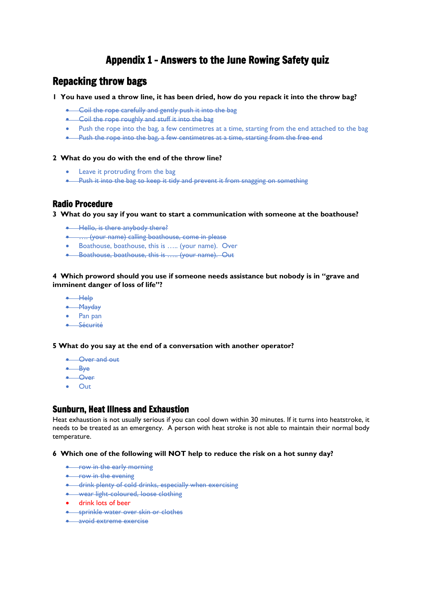## Appendix 1 – Answers to the June Rowing Safety quiz

### Repacking throw bags

**1 You have used a throw line, it has been dried, how do you repack it into the throw bag?** 

- Coil the rope carefully and gently push it into the bag
- Coil the rope roughly and stuff it into the bage
- Push the rope into the bag, a few centimetres at a time, starting from the end attached to the bag
- Push the rope into the bag, a few centimetres at a time, starting from the free end

#### **2 What do you do with the end of the throw line?**

- Leave it protruding from the bag
- Push it into the bag to keep it tidy and prevent it from snagging on something

#### Radio Procedure

**3 What do you say if you want to start a communication with someone at the boathouse?** 

- Hello, is there anybody there?
- …. (your name) calling boathouse, come in please
- Boathouse, boathouse, this is ….. (your name). Over
- Boathouse, boathouse, this is ….. (your name). Out

#### **4 Which proword should you use if someone needs assistance but nobody is in "grave and imminent danger of loss of life"?**

- Help
- Mayday
- Pan pan
- Sécurité

**5 What do you say at the end of a conversation with another operator?**

- Over and out
- Bye
- Over
- Out

#### Sunburn, Heat Illness and Exhaustion

Heat exhaustion is not usually serious if you can cool down within 30 minutes. If it turns into heatstroke, it needs to be treated as an emergency. A person with heat stroke is not able to maintain their normal body temperature.

**6 Which one of the following will NOT help to reduce the risk on a hot sunny day?**

- **•** row in the early morning
- row in the evening
- drink plenty of cold drinks, especially when exercising
- wear light-coloured, loose clothing
- drink lots of beer
- sprinkle water over skin or clothes
- avoid extreme exercise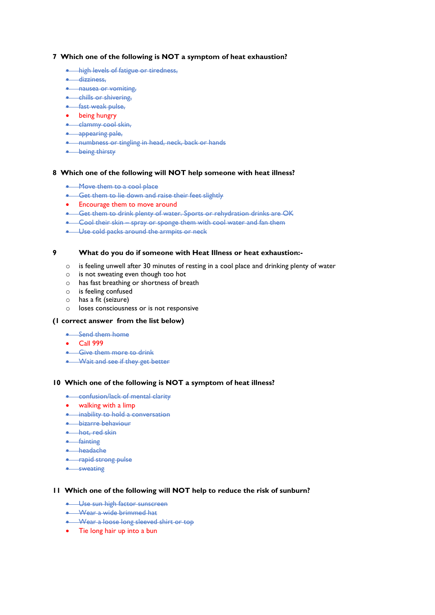#### **7 Which one of the following is NOT a symptom of heat exhaustion?**

- **•** high levels of fatigue or tiredness,
- dizziness,
- **•** nausea or vomiting,
- **•** chills or shivering,
- **•** fast weak pulse,
- being hungry
- clammy cool skin,
- appearing pale,
- numbness or tingling in head, neck, back or hands
- being thirsty

#### **8 Which one of the following will NOT help someone with heat illness?**

- Move them to a cool place
- Get them to lie down and raise their feet slightly
- Encourage them to move around
- Get them to drink plenty of water. Sports or rehydration drinks are OK
- Cool their skin spray or sponge them with cool water and fan them
- Use cold packs around the armpits or neck

#### **9 What do you do if someone with Heat Illness or heat exhaustion:-**

- o is feeling unwell after 30 minutes of resting in a cool place and drinking plenty of water
- o is not sweating even though too hot
- o has fast breathing or shortness of breath
- o is feeling confused
- o has a fit (seizure)
- o loses consciousness or is not responsive

#### **(1 correct answer from the list below)**

- Send them home
- Call 999
- **•** Give them more to drink
- Wait and see if they get better

#### **10 Which one of the following is NOT a symptom of heat illness?**

- confusion/lack of mental clarity
- walking with a limp
- inability to hold a conversation
- bizarre behaviour
- hot, red skin
- fainting
- headache
- rapid strong pulse
- sweating

#### **11 Which one of the following will NOT help to reduce the risk of sunburn?**

- Use sun high factor sunscreen
- Wear a wide brimmed hat
- Wear a loose long sleeved shirt or top
- Tie long hair up into a bun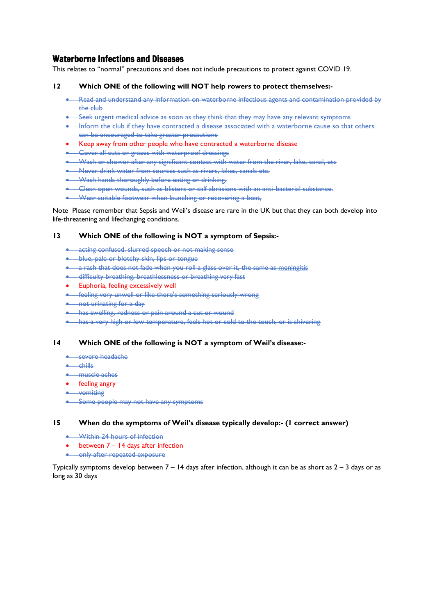#### Waterborne Infections and Diseases

This relates to "normal" precautions and does not include precautions to protect against COVID 19.

#### **12 Which ONE of the following will NOT help rowers to protect themselves:-**

- Read and understand any information on waterborne infectious agents and contamination provided by the club
- Seek urgent medical advice as soon as they think that they may have any relevant symptoms
- Inform the club if they have contracted a disease associated with a waterborne cause so that others can be encouraged to take greater precautions
- Keep away from other people who have contracted a waterborne disease
- Cover all cuts or grazes with waterproof dressings
- Wash or shower after any significant contact with water from the river, lake, canal, etc
- Never drink water from sources such as rivers, lakes, canals etc.
- Wash hands thoroughly before eating or drinking.
- Clean open wounds, such as blisters or calf abrasions with an anti-bacterial substance.
- Wear suitable footwear when launching or recovering a boat,

Note Please remember that Sepsis and Weil's disease are rare in the UK but that they can both develop into life-threatening and lifechanging conditions.

#### **13 Which ONE of the following is NOT a symptom of Sepsis:-**

- acting confused, slurred speech or not making sense
- **•** blue, pale or blotchy skin, lips or tongue
- a rash that does not fade when you roll a glass over it, the same as [meningitis](https://www.nhs.uk/conditions/meningitis/)
- difficulty breathing, breathlessness or breathing very fast
- Euphoria, feeling excessively well
- feeling very unwell or like there's something seriously wrong
- not urinating for a day
- has swelling, redness or pain around a cut or wound
- has a very high or low temperature, feels hot or cold to the touch, or is shivering

#### **14 Which ONE of the following is NOT a symptom of Weil's disease:-**

- **•** severe headache
- chills
- muscle aches
- feeling angry
- vomiting
- Some people may not have any symptoms

#### **15 When do the symptoms of Weil's disease typically develop:- (1 correct answer)**

- Within 24 hours of infection
- between 7 14 days after infection
- only after repeated exposure

Typically symptoms develop between  $7 - 14$  days after infection, although it can be as short as  $2 - 3$  days or as long as 30 days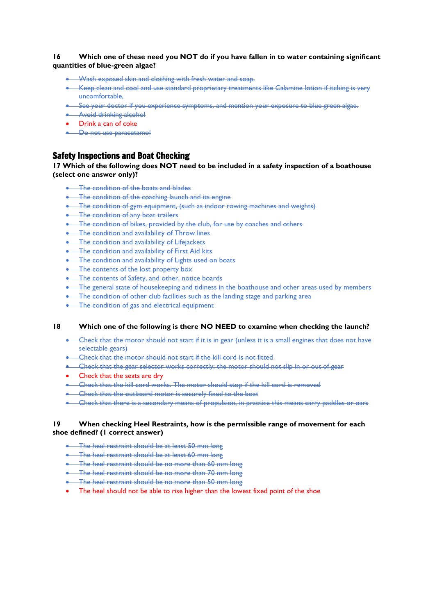#### **16 Which one of these need you NOT do if you have fallen in to water containing significant quantities of blue-green algae?**

- Wash exposed skin and clothing with fresh water and soap.
- Keep clean and cool and use standard proprietary treatments like Calamine lotion if itching is very uncomfortable,
- See your doctor if you experience symptoms, and mention your exposure to blue green algae.
- Avoid drinking alcohol
- Drink a can of coke
- Do not use paracetamol

#### Safety Inspections and Boat Checking

#### **17 Which of the following does NOT need to be included in a safety inspection of a boathouse (select one answer only)?**

- **The condition of the boats and blades**
- The condition of the coaching launch and its engine
- The condition of gym equipment, (such as indoor rowing machines and weights)
- The condition of any boat trailers
- The condition of bikes, provided by the club, for use by coaches and others
- The condition and availability of Throw lines
- **•** The condition and availability of Lifejackets
- **•** The condition and availability of First Aid kits
- The condition and availability of Lights used on boats
- The contents of the lost property box
- The contents of Safety, and other, notice boards
- The general state of housekeeping and tidiness in the boathouse and other areas used by members
- The condition of other club facilities such as the landing stage and parking area
- The condition of gas and electrical equipment

#### **18 Which one of the following is there NO NEED to examine when checking the launch?**

- Check that the motor should not start if it is in gear (unless it is a small engines that does not have selectable gears)
- Check that the motor should not start if the kill cord is not fitted
- Check that the gear selector works correctly; the motor should not slip in or out of gear
- Check that the seats are dry
- Check that the kill cord works. The motor should stop if the kill cord is removed
- Check that the outboard motor is securely fixed to the boat
- Check that there is a secondary means of propulsion, in practice this means carry paddles or oars

#### **19 When checking Heel Restraints, how is the permissible range of movement for each shoe defined? (1 correct answer)**

- The heel restraint should be at least 50 mm long
- The heel restraint should be at least 60 mm long
- The heel restraint should be no more than 60 mm long
- The heel restraint should be no more than 70 mm long
- The heel restraint should be no more than 50 mm long
- The heel should not be able to rise higher than the lowest fixed point of the shoe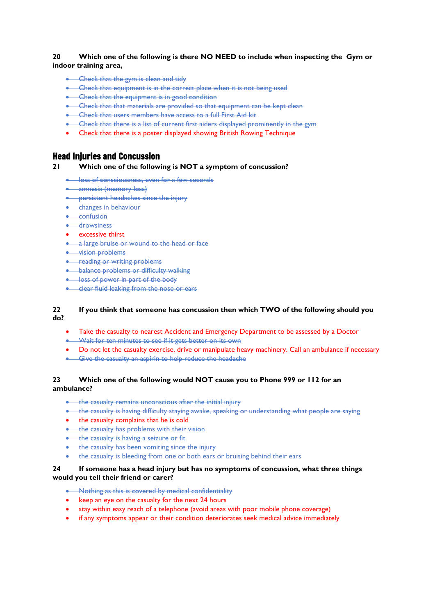#### **20 Which one of the following is there NO NEED to include when inspecting the Gym or indoor training area,**

- Check that the gym is clean and tidy
- Check that equipment is in the correct place when it is not being used
- Check that the equipment is in good condition
- Check that that materials are provided so that equipment can be kept clean
- Check that users members have access to a full First Aid kit
- Check that there is a list of current first aiders displayed prominently in the gym
- Check that there is a poster displayed showing British Rowing Technique

#### Head Injuries and Concussion

#### **21 Which one of the following is NOT a symptom of concussion?**

- **loss of consciousness, even for a few seconds**
- amnesia (memory loss)
- persistent headaches since the injury
- changes in behaviour
- confusion
- drowsiness
- excessive thirst
- a large bruise or wound to the head or face
- vision problems
- **•** reading or writing problems
- **•** balance problems or difficulty walking
- **•** loss of power in part of the body
- clear fluid leaking from the nose or ears

#### **22 If you think that someone has concussion then which TWO of the following should you do?**

- Take the casualty to nearest Accident and Emergency Department to be assessed by a Doctor
- Wait for ten minutes to see if it gets better on its own
- Do not let the casualty exercise, drive or manipulate heavy machinery. Call an ambulance if necessary
- Give the casualty an aspirin to help reduce the headache

#### **23 Which one of the following would NOT cause you to Phone 999 or 112 for an ambulance?**

- the casualty remains unconscious after the initial injury
- the casualty is having difficulty staying awake, speaking or understanding what people are saying
- the casualty complains that he is cold
- the casualty has problems with their vision
- **•** the casualty is having a seizure or fit
- the casualty has been vomiting since the injury
- the casualty is bleeding from one or both ears or bruising behind their ears

#### **24 If someone has a head injury but has no symptoms of concussion, what three things would you tell their friend or carer?**

- Nothing as this is covered by medical confidentiality
- keep an eye on the casualty for the next 24 hours
- stay within easy reach of a telephone (avoid areas with poor mobile phone coverage)
- if any symptoms appear or their condition deteriorates seek medical advice immediately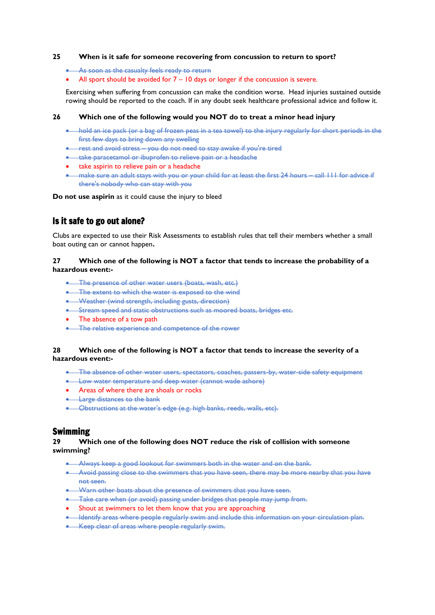#### **25 When is it safe for someone recovering from concussion to return to sport?**

- As soon as the casualty feels ready to return
- All sport should be avoided for  $7 10$  days or longer if the concussion is severe.

Exercising when suffering from concussion can make the condition worse. Head injuries sustained outside rowing should be reported to the coach. If in any doubt seek healthcare professional advice and follow it.

#### **26 Which one of the following would you NOT do to treat a minor head injury**

- hold an ice pack (or a bag of frozen peas in a tea towel) to the injury regularly for short periods in the first few days to bring down any swelling
- rest and avoid stress you do not need to stay awake if you're tired
- take [paracetamol](https://beta.nhs.uk/medicines/paracetamol-for-adults) or [ibuprofen](https://www.nhs.uk/medicines/ibuprofen-for-adults/) to relieve pain or a headache
- take aspirin to relieve pain or a headache
- make sure an adult stays with you or your child for at least the first 24 hours call 111 for advice if there's nobody who can stay with you

**Do not use aspirin** as it could cause the injury to bleed

#### Is it safe to go out alone?

Clubs are expected to use their Risk Assessments to establish rules that tell their members whether a small boat outing can or cannot happen**.**

#### **27 Which one of the following is NOT a factor that tends to increase the probability of a hazardous event:-**

- The presence of other water users (boats, wash, etc.)
- The extent to which the water is exposed to the wind
- Weather (wind strength, including gusts, direction)
- Stream speed and static obstructions such as moored boats, bridges etc.
- The absence of a tow path
- The relative experience and competence of the rower

#### **28 Which one of the following is NOT a factor that tends to increase the severity of a hazardous event:-**

- The absence of other water users, spectators, coaches, passers-by, water-side safety equipment
- Low water temperature and deep water (cannot wade ashore)
- Areas of where there are shoals or rocks
- **•** Large distances to the bank
- Obstructions at the water's edge (e.g. high banks, reeds, walls, etc).

#### Swimming

#### **29 Which one of the following does NOT reduce the risk of collision with someone swimming?**

- Always keep a good lookout for swimmers both in the water and on the bank.
- Avoid passing close to the swimmers that you have seen, there may be more nearby that you have not seen.
- Warn other boats about the presence of swimmers that you have seen.
- Take care when (or avoid) passing under bridges that people may jump from.
- Shout at swimmers to let them know that you are approaching
- Identify areas where people regularly swim and include this information on your circulation plan.
- Keep clear of areas where people regularly swim.